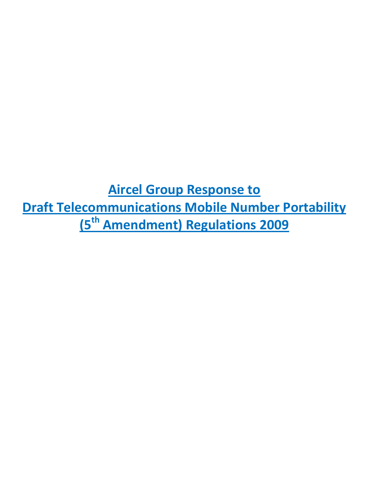**Aircel Group Response to Draft Telecommunications Mobile Number Portability (5th Amendment) Regulations 2009**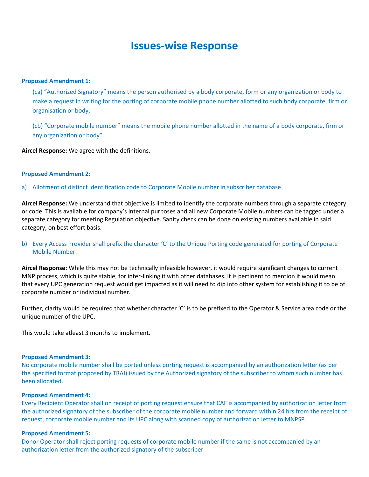# **Issues-wise Response**

## **Proposed Amendment 1:**

(ca) "Authorized Signatory" means the person authorised by a body corporate, form or any organization or body to make a request in writing for the porting of corporate mobile phone number allotted to such body corporate, firm or organisation or body;

(cb) "Corporate mobile number" means the mobile phone number allotted in the name of a body corporate, firm or any organization or body".

**Aircel Response:** We agree with the definitions.

#### **Proposed Amendment 2:**

a) Allotment of distinct identification code to Corporate Mobile number in subscriber database

**Aircel Response:** We understand that objective is limited to identify the corporate numbers through a separate category or code. This is available for company's internal purposes and all new Corporate Mobile numbers can be tagged under a separate category for meeting Regulation objective. Sanity check can be done on existing numbers available in said category, on best effort basis.

# b) Every Access Provider shall prefix the character 'C' to the Unique Porting code generated for porting of Corporate Mobile Number.

**Aircel Response:** While this may not be technically infeasible however, it would require significant changes to current MNP process, which is quite stable, for inter-linking it with other databases. It is pertinent to mention it would mean that every UPC generation request would get impacted as it will need to dip into other system for establishing it to be of corporate number or individual number.

Further, clarity would be required that whether character 'C' is to be prefixed to the Operator & Service area code or the unique number of the UPC.

This would take atleast 3 months to implement.

## **Proposed Amendment 3:**

No corporate mobile number shall be ported unless porting request is accompanied by an authorization letter (as per the specified format proposed by TRAI) issued by the Authorized signatory of the subscriber to whom such number has been allocated.

#### **Proposed Amendment 4:**

Every Recipient Operator shall on receipt of porting request ensure that CAF is accompanied by authorization letter from the authorized signatory of the subscriber of the corporate mobile number and forward within 24 hrs from the receipt of request, corporate mobile number and its UPC along with scanned copy of authorization letter to MNPSP.

## **Proposed Amendment 5:**

Donor Operator shall reject porting requests of corporate mobile number if the same is not accompanied by an authorization letter from the authorized signatory of the subscriber